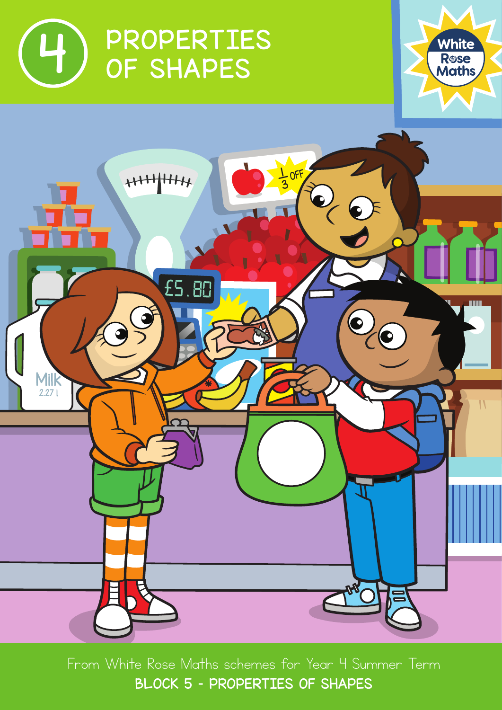





From White Rose Maths schemes for Year 4 Summer Term BLOCK 5 - PROPERTIES OF SHAPES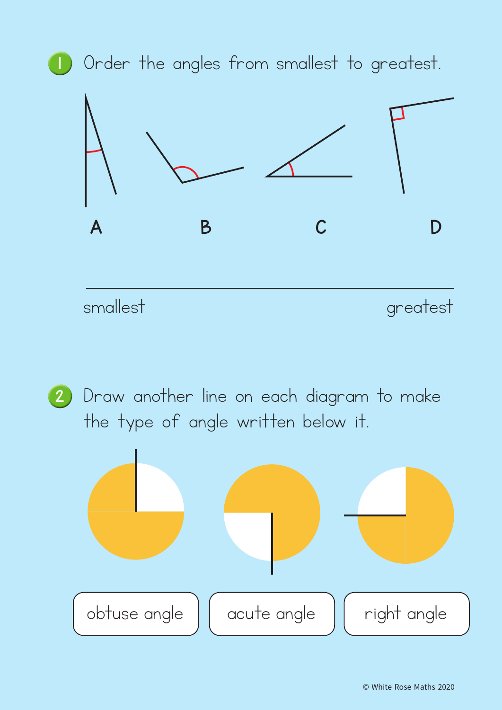

2 Draw another line on each diagram to make the type of angle written below it.

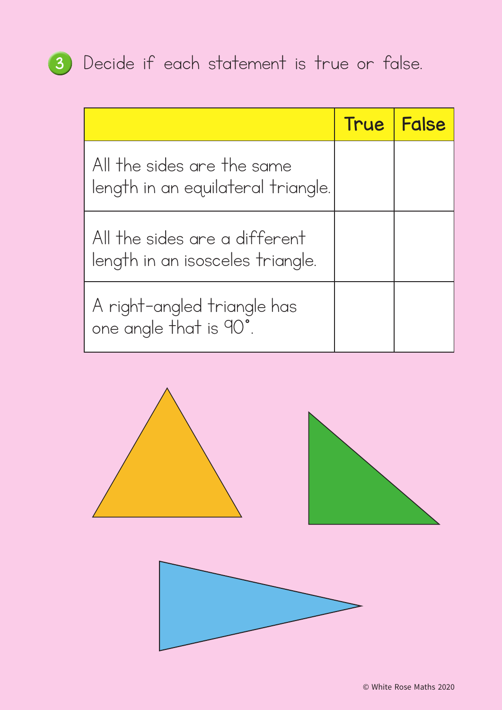## <sup>3</sup> Decide if each statement is true or false.

|                                                                   | <b>True</b> | False |
|-------------------------------------------------------------------|-------------|-------|
| All the sides are the same<br>length in an equilateral triangle.  |             |       |
| All the sides are a different<br>length in an isosceles triangle. |             |       |
| A right-angled triangle has<br>one angle that is 90°.             |             |       |



© White Rose Maths 2020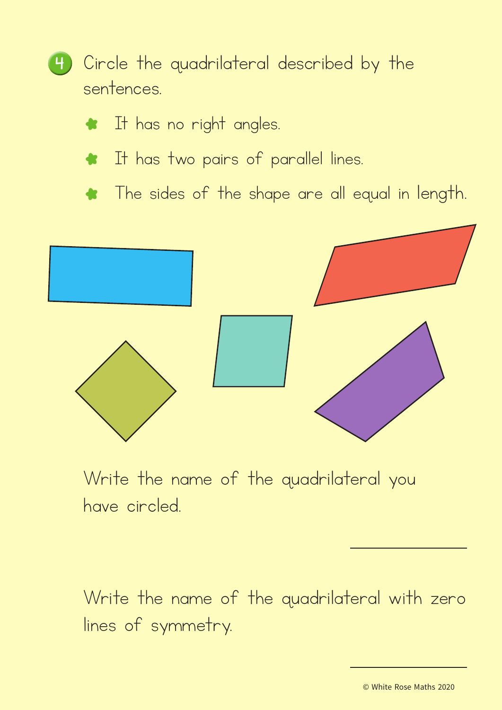

- \* It has no right angles.
- \* It has two pairs of parallel lines.
- \* The sides of the shape are all equal in length.



Write the name of the quadrilateral you have circled.

Write the name of the quadrilateral with zero lines of symmetry.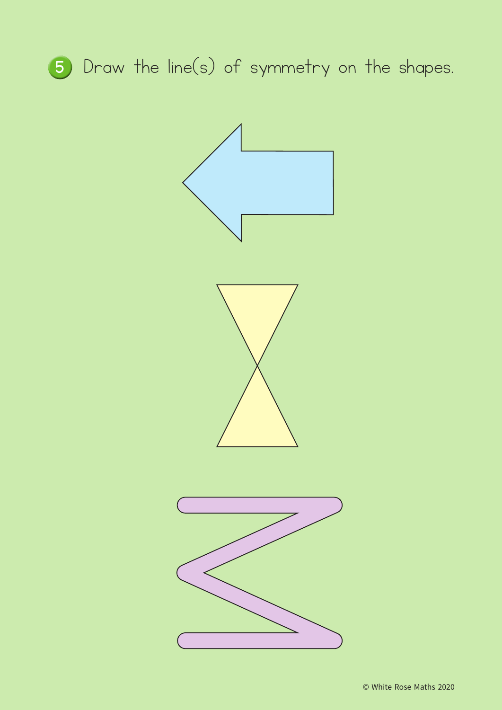

<sup>5</sup> Draw the line(s) of symmetry on the shapes.

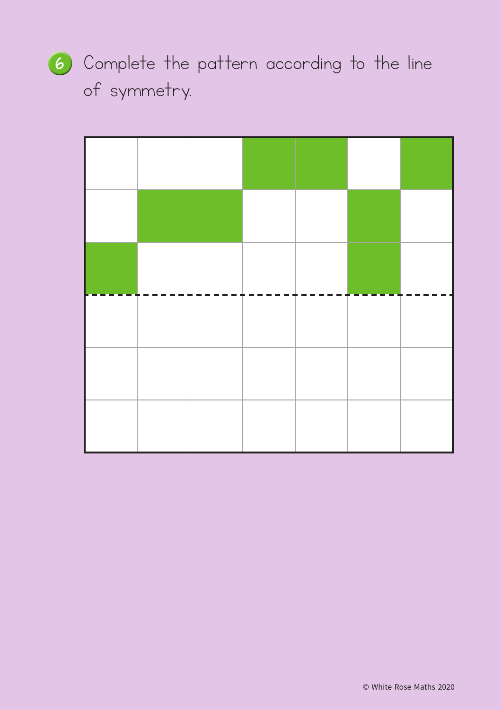<sup>6</sup> Complete the pattern according to the line of symmetry.

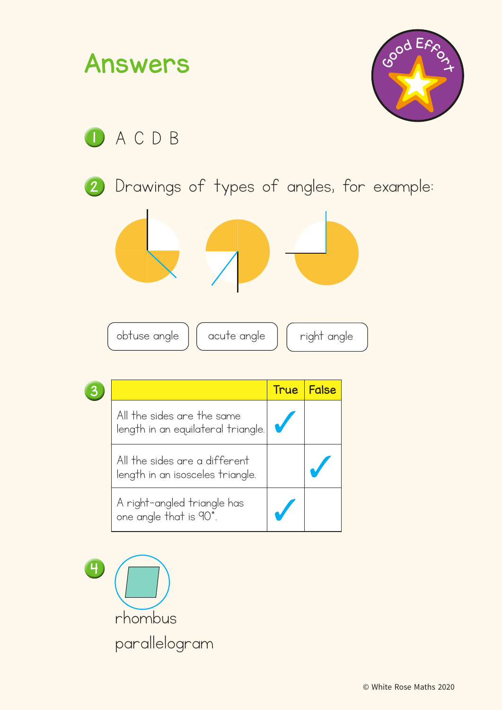

4 rhombus parallelogram